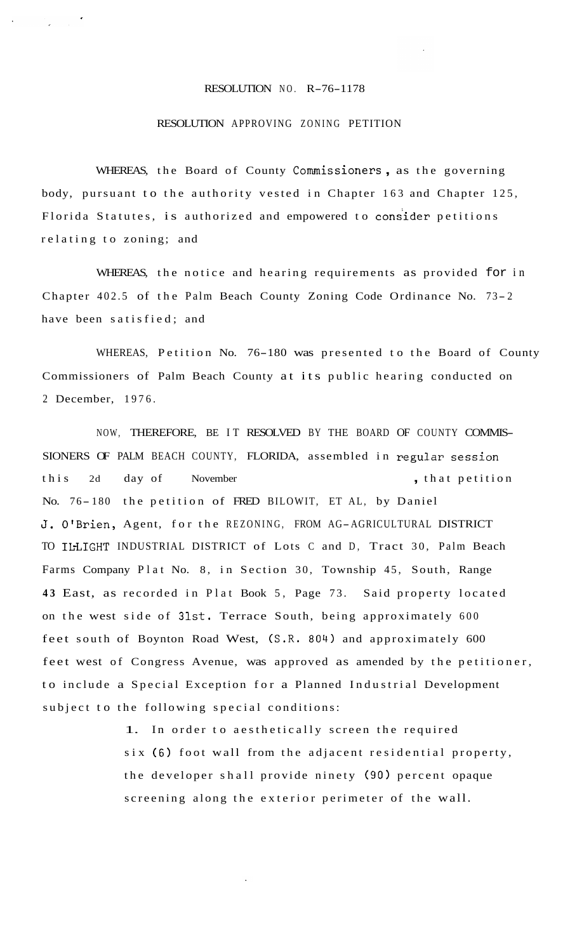## RESOLUTION NO. R-76-1178

## RESOLUTION APPROVING ZONING PETITION

WHEREAS, the Board of County Commissioners , as the governing body, pursuant to the authority vested in Chapter 163 and Chapter 125, Florida Statutes, is authorized and empowered to consider petitions relating to zoning; and

WHEREAS, the notice and hearing requirements as provided for in Chapter 402.5 of the Palm Beach County Zoning Code Ordinance No. 73-2 have been satisfied; and

WHEREAS, Petition No. 76-180 was presented to the Board of County Commissioners of Palm Beach County at its public hearing conducted on 2 December, 1976.

NOW, THEREFORE, BE IT RESOLVED BY THE BOARD OF COUNTY COMMIS-SIONERS OF PALM BEACH COUNTY, FLORIDA, assembled in regular session this 2d day of November , that petition No. 76- 180 the petition of FRED BILOWIT, ET AL, by Daniel **J.** O'Brien, Agent, for the REZONING, FROM AG-AGRICULTURAL DISTRICT TO ILLIGHT INDUSTRIAL DISTRICT of Lots C and D, Tract 30, Palm Beach Farms Company Plat No. 8, in Section 30, Township 45, South, Range **43** East, as recorded in Plat Book 5, Page 73. Said property located on the west side of 31st. Terrace South, being approximately 600 feet south of Boynton Road West, (S.R. 804) and approximately 600 feet west of Congress Avenue, was approved as amended by the petitioner, to include a Special Exception for a Planned Industrial Development subject to the following special conditions:

> 1. In order to aesthetically screen the required six (6) foot wall from the adjacent residential property, the developer shall provide ninety (90) percent opaque screening along the exterior perimeter of the wall.